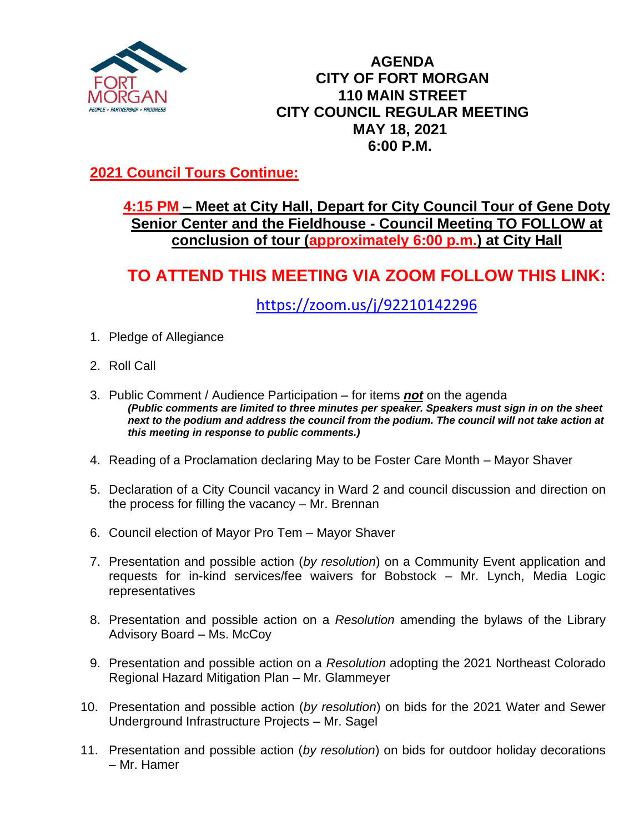

#### **AGENDA CITY OF FORT MORGAN 110 MAIN STREET CITY COUNCIL REGULAR MEETING MAY 18, 2021 6:00 P.M.**

## **2021 Council Tours Continue:**

### **4:15 PM – Meet at City Hall, Depart for City Council Tour of Gene Doty Senior Center and the Fieldhouse - Council Meeting TO FOLLOW at conclusion of tour (approximately 6:00 p.m.) at City Hall**

# **TO ATTEND THIS MEETING VIA ZOOM FOLLOW THIS LINK:**

<https://zoom.us/j/92210142296>

- 1. Pledge of Allegiance
- 2. Roll Call
- 3. Public Comment / Audience Participation for items *not* on the agenda *(Public comments are limited to three minutes per speaker. Speakers must sign in on the sheet next to the podium and address the council from the podium. The council will not take action at this meeting in response to public comments.)*
- 4. Reading of a Proclamation declaring May to be Foster Care Month Mayor Shaver
- 5. Declaration of a City Council vacancy in Ward 2 and council discussion and direction on the process for filling the vacancy – Mr. Brennan
- 6. Council election of Mayor Pro Tem Mayor Shaver
- 7. Presentation and possible action (*by resolution*) on a Community Event application and requests for in-kind services/fee waivers for Bobstock – Mr. Lynch, Media Logic representatives
- 8. Presentation and possible action on a *Resolution* amending the bylaws of the Library Advisory Board – Ms. McCoy
- 9. Presentation and possible action on a *Resolution* adopting the 2021 Northeast Colorado Regional Hazard Mitigation Plan – Mr. Glammeyer
- 10. Presentation and possible action (*by resolution*) on bids for the 2021 Water and Sewer Underground Infrastructure Projects – Mr. Sagel
- 11. Presentation and possible action (*by resolution*) on bids for outdoor holiday decorations – Mr. Hamer